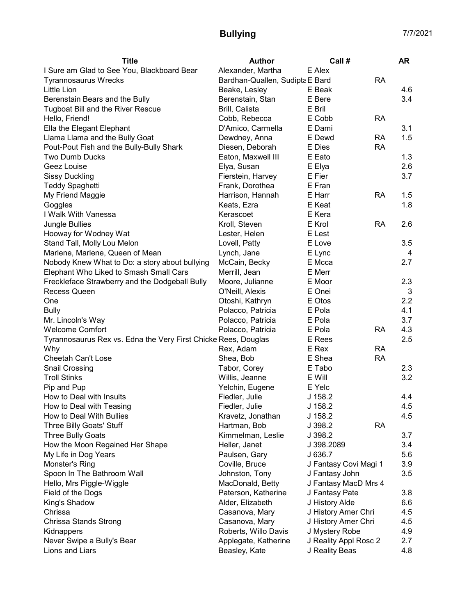## Bullying 7/7/2021

| <b>Title</b>                                                   | Author                          | Call #                |           | <b>AR</b> |
|----------------------------------------------------------------|---------------------------------|-----------------------|-----------|-----------|
| I Sure am Glad to See You, Blackboard Bear                     | Alexander, Martha               | E Alex                |           |           |
| <b>Tyrannosaurus Wrecks</b>                                    | Bardhan-Quallen, Sudipta E Bard |                       | <b>RA</b> |           |
| Little Lion                                                    | Beake, Lesley                   | E Beak                |           | 4.6       |
| Berenstain Bears and the Bully                                 | Berenstain, Stan                | E Bere                |           | 3.4       |
| <b>Tugboat Bill and the River Rescue</b>                       | Brill, Calista                  | E Bril                |           |           |
| Hello, Friend!                                                 | Cobb, Rebecca                   | E Cobb                | RA        |           |
| Ella the Elegant Elephant                                      | D'Amico, Carmella               | E Dami                |           | 3.1       |
| Llama Llama and the Bully Goat                                 | Dewdney, Anna                   | E Dewd                | <b>RA</b> | 1.5       |
| Pout-Pout Fish and the Bully-Bully Shark                       | Diesen, Deborah                 | E Dies                | <b>RA</b> |           |
| Two Dumb Ducks                                                 | Eaton, Maxwell III              | E Eato                |           | 1.3       |
| Geez Louise                                                    | Elya, Susan                     | E Elya                |           | 2.6       |
| <b>Sissy Duckling</b>                                          | Fierstein, Harvey               | E Fier                |           | 3.7       |
| <b>Teddy Spaghetti</b>                                         | Frank, Dorothea                 | E Fran                |           |           |
| My Friend Maggie                                               | Harrison, Hannah                | E Harr                | <b>RA</b> | 1.5       |
| Goggles                                                        | Keats, Ezra                     | E Keat                |           | 1.8       |
| I Walk With Vanessa                                            | Kerascoet                       | E Kera                |           |           |
| Jungle Bullies                                                 | Kroll, Steven                   | E Krol                | <b>RA</b> | 2.6       |
| Hooway for Wodney Wat                                          | Lester, Helen                   | E Lest                |           |           |
| Stand Tall, Molly Lou Melon                                    | Lovell, Patty                   | E Love                |           | 3.5       |
| Marlene, Marlene, Queen of Mean                                | Lynch, Jane                     | E Lync                |           | 4         |
| Nobody Knew What to Do: a story about bullying                 | McCain, Becky                   | E Mcca                |           | 2.7       |
| Elephant Who Liked to Smash Small Cars                         | Merrill, Jean                   | E Merr                |           |           |
| Freckleface Strawberry and the Dodgeball Bully                 | Moore, Julianne                 | E Moor                |           | 2.3       |
| <b>Recess Queen</b>                                            | O'Neill, Alexis                 | E Onei                |           | 3         |
| One                                                            | Otoshi, Kathryn                 | E Otos                |           | 2.2       |
| <b>Bully</b>                                                   | Polacco, Patricia               | E Pola                |           | 4.1       |
| Mr. Lincoln's Way                                              | Polacco, Patricia               | E Pola                |           | 3.7       |
| <b>Welcome Comfort</b>                                         | Polacco, Patricia               | E Pola                | <b>RA</b> | 4.3       |
| Tyrannosaurus Rex vs. Edna the Very First Chicke Rees, Douglas |                                 | E Rees                |           | 2.5       |
| Why                                                            | Rex, Adam                       | E Rex                 | <b>RA</b> |           |
| Cheetah Can't Lose                                             | Shea, Bob                       | E Shea                | <b>RA</b> |           |
| <b>Snail Crossing</b>                                          | Tabor, Corey                    | E Tabo                |           | 2.3       |
| <b>Troll Stinks</b>                                            | Willis, Jeanne                  | E Will                |           | 3.2       |
| Pip and Pup                                                    | Yelchin, Eugene                 | E Yelc                |           |           |
| How to Deal with Insults                                       | Fiedler, Julie                  | J 158.2               |           | 4.4       |
| How to Deal with Teasing                                       | Fiedler, Julie                  | $J$ 158.2             |           | 4.5       |
| How to Deal With Bullies                                       | Kravetz, Jonathan               | J 158.2               |           | 4.5       |
| Three Billy Goats' Stuff                                       | Hartman, Bob                    | J 398.2               | <b>RA</b> |           |
| <b>Three Bully Goats</b>                                       | Kimmelman, Leslie               | J 398.2               |           | 3.7       |
| How the Moon Regained Her Shape                                | Heller, Janet                   | J 398.2089            |           | 3.4       |
| My Life in Dog Years                                           | Paulsen, Gary                   | J 636.7               |           | 5.6       |
| Monster's Ring                                                 | Coville, Bruce                  | J Fantasy Covi Magi 1 |           | 3.9       |
| Spoon In The Bathroom Wall                                     | Johnston, Tony                  | J Fantasy John        |           | 3.5       |
| Hello, Mrs Piggle-Wiggle                                       | MacDonald, Betty                | J Fantasy MacD Mrs 4  |           |           |
| Field of the Dogs                                              | Paterson, Katherine             | J Fantasy Pate        |           | 3.8       |
| King's Shadow                                                  | Alder, Elizabeth                | J History Alde        |           | 6.6       |
| Chrissa                                                        | Casanova, Mary                  | J History Amer Chri   |           | 4.5       |
| Chrissa Stands Strong                                          | Casanova, Mary                  | J History Amer Chri   |           | 4.5       |
| Kidnappers                                                     | Roberts, Willo Davis            | J Mystery Robe        |           | 4.9       |
| Never Swipe a Bully's Bear                                     | Applegate, Katherine            | J Reality Appl Rosc 2 |           | 2.7       |
| Lions and Liars                                                | Beasley, Kate                   | J Reality Beas        |           | 4.8       |